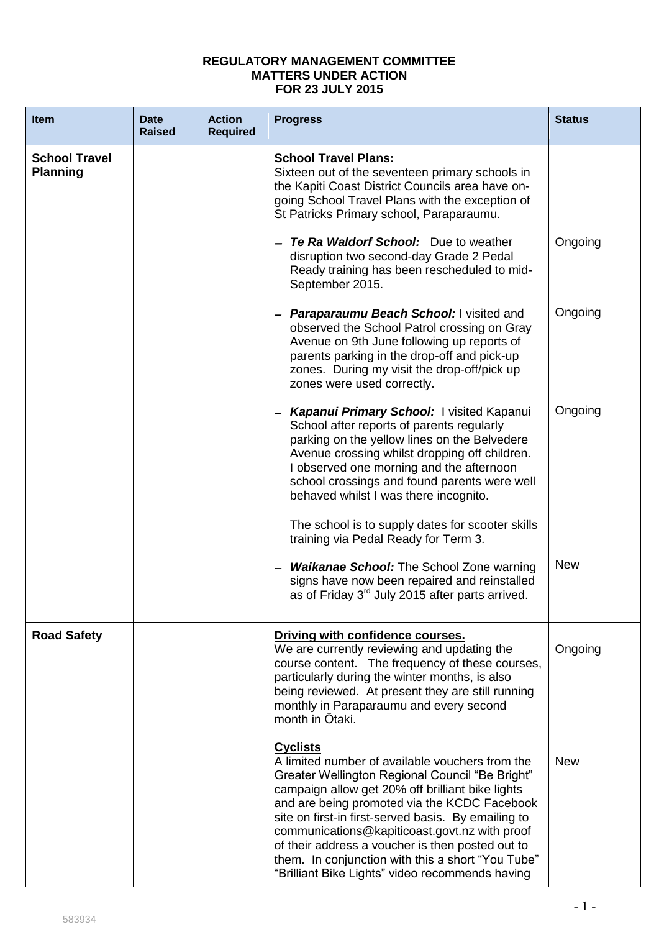## **REGULATORY MANAGEMENT COMMITTEE MATTERS UNDER ACTION FOR 23 JULY 2015**

| <b>Item</b>                             | <b>Date</b><br><b>Raised</b> | <b>Action</b><br><b>Required</b> | <b>Progress</b>                                                                                                                                                                                                                                                                                                                                                                                                                                                                               | <b>Status</b> |
|-----------------------------------------|------------------------------|----------------------------------|-----------------------------------------------------------------------------------------------------------------------------------------------------------------------------------------------------------------------------------------------------------------------------------------------------------------------------------------------------------------------------------------------------------------------------------------------------------------------------------------------|---------------|
| <b>School Travel</b><br><b>Planning</b> |                              |                                  | <b>School Travel Plans:</b><br>Sixteen out of the seventeen primary schools in<br>the Kapiti Coast District Councils area have on-<br>going School Travel Plans with the exception of<br>St Patricks Primary school, Paraparaumu.                                                                                                                                                                                                                                                             |               |
|                                         |                              |                                  | Te Ra Waldorf School: Due to weather<br>disruption two second-day Grade 2 Pedal<br>Ready training has been rescheduled to mid-<br>September 2015.                                                                                                                                                                                                                                                                                                                                             | Ongoing       |
|                                         |                              |                                  | <b>Paraparaumu Beach School:</b> I visited and<br>observed the School Patrol crossing on Gray<br>Avenue on 9th June following up reports of<br>parents parking in the drop-off and pick-up<br>zones. During my visit the drop-off/pick up<br>zones were used correctly.                                                                                                                                                                                                                       | Ongoing       |
|                                         |                              |                                  | Kapanui Primary School: I visited Kapanui<br>$\overline{\phantom{0}}$<br>School after reports of parents regularly<br>parking on the yellow lines on the Belvedere<br>Avenue crossing whilst dropping off children.<br>I observed one morning and the afternoon<br>school crossings and found parents were well<br>behaved whilst I was there incognito.                                                                                                                                      | Ongoing       |
|                                         |                              |                                  | The school is to supply dates for scooter skills<br>training via Pedal Ready for Term 3.                                                                                                                                                                                                                                                                                                                                                                                                      |               |
|                                         |                              |                                  | <b>Waikanae School:</b> The School Zone warning<br>signs have now been repaired and reinstalled<br>as of Friday 3 <sup>rd</sup> July 2015 after parts arrived.                                                                                                                                                                                                                                                                                                                                | <b>New</b>    |
| <b>Road Safety</b>                      |                              |                                  | Driving with confidence courses.<br>We are currently reviewing and updating the<br>course content. The frequency of these courses,<br>particularly during the winter months, is also<br>being reviewed. At present they are still running<br>monthly in Paraparaumu and every second<br>month in Ōtaki.                                                                                                                                                                                       | Ongoing       |
|                                         |                              |                                  | <b>Cyclists</b><br>A limited number of available vouchers from the<br>Greater Wellington Regional Council "Be Bright"<br>campaign allow get 20% off brilliant bike lights<br>and are being promoted via the KCDC Facebook<br>site on first-in first-served basis. By emailing to<br>communications@kapiticoast.govt.nz with proof<br>of their address a voucher is then posted out to<br>them. In conjunction with this a short "You Tube"<br>"Brilliant Bike Lights" video recommends having | <b>New</b>    |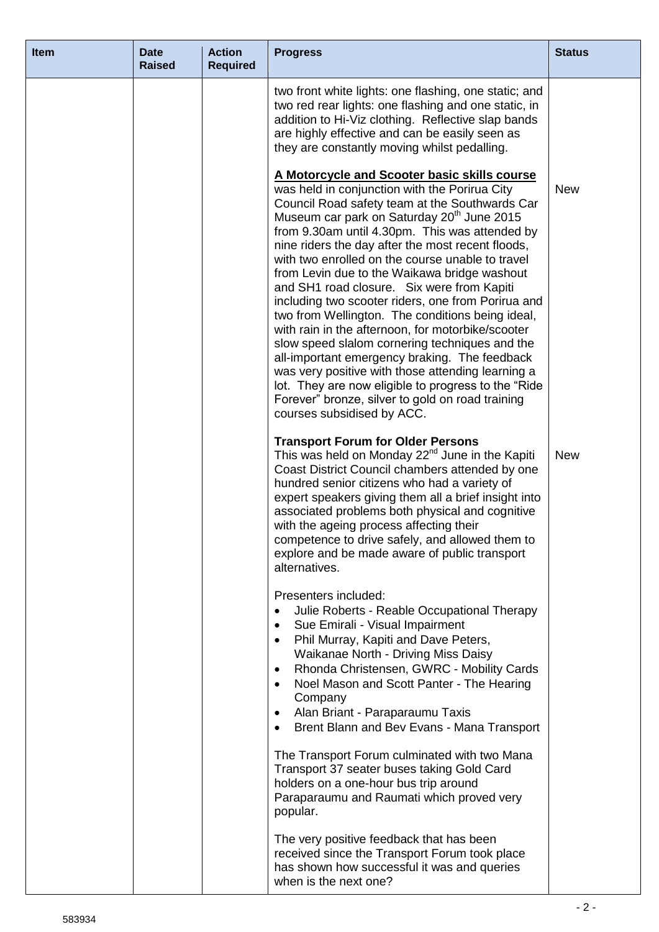| <b>Item</b> | <b>Date</b><br><b>Raised</b> | <b>Action</b><br><b>Required</b> | <b>Progress</b>                                                                                                                                                                                                                                                                                                                                                                                                                                                                                                                                                                                                                                                                                                                                                                                                                                                                                                                     | <b>Status</b> |
|-------------|------------------------------|----------------------------------|-------------------------------------------------------------------------------------------------------------------------------------------------------------------------------------------------------------------------------------------------------------------------------------------------------------------------------------------------------------------------------------------------------------------------------------------------------------------------------------------------------------------------------------------------------------------------------------------------------------------------------------------------------------------------------------------------------------------------------------------------------------------------------------------------------------------------------------------------------------------------------------------------------------------------------------|---------------|
|             |                              |                                  | two front white lights: one flashing, one static; and<br>two red rear lights: one flashing and one static, in<br>addition to Hi-Viz clothing. Reflective slap bands<br>are highly effective and can be easily seen as<br>they are constantly moving whilst pedalling.                                                                                                                                                                                                                                                                                                                                                                                                                                                                                                                                                                                                                                                               |               |
|             |                              |                                  | A Motorcycle and Scooter basic skills course<br>was held in conjunction with the Porirua City<br>Council Road safety team at the Southwards Car<br>Museum car park on Saturday 20 <sup>th</sup> June 2015<br>from 9.30am until 4.30pm. This was attended by<br>nine riders the day after the most recent floods,<br>with two enrolled on the course unable to travel<br>from Levin due to the Waikawa bridge washout<br>and SH1 road closure. Six were from Kapiti<br>including two scooter riders, one from Porirua and<br>two from Wellington. The conditions being ideal,<br>with rain in the afternoon, for motorbike/scooter<br>slow speed slalom cornering techniques and the<br>all-important emergency braking. The feedback<br>was very positive with those attending learning a<br>lot. They are now eligible to progress to the "Ride"<br>Forever" bronze, silver to gold on road training<br>courses subsidised by ACC. | <b>New</b>    |
|             |                              |                                  | <b>Transport Forum for Older Persons</b><br>This was held on Monday 22 <sup>nd</sup> June in the Kapiti<br>Coast District Council chambers attended by one<br>hundred senior citizens who had a variety of<br>expert speakers giving them all a brief insight into<br>associated problems both physical and cognitive<br>with the ageing process affecting their<br>competence to drive safely, and allowed them to<br>explore and be made aware of public transport<br>alternatives.                                                                                                                                                                                                                                                                                                                                                                                                                                               | <b>New</b>    |
|             |                              |                                  | Presenters included:<br>Julie Roberts - Reable Occupational Therapy<br>$\bullet$<br>Sue Emirali - Visual Impairment<br>$\bullet$<br>Phil Murray, Kapiti and Dave Peters,<br>$\bullet$<br>Waikanae North - Driving Miss Daisy<br>Rhonda Christensen, GWRC - Mobility Cards<br>$\bullet$<br>Noel Mason and Scott Panter - The Hearing<br>$\bullet$<br>Company<br>Alan Briant - Paraparaumu Taxis<br>$\bullet$<br>Brent Blann and Bev Evans - Mana Transport<br>$\bullet$                                                                                                                                                                                                                                                                                                                                                                                                                                                              |               |
|             |                              |                                  | The Transport Forum culminated with two Mana<br>Transport 37 seater buses taking Gold Card<br>holders on a one-hour bus trip around<br>Paraparaumu and Raumati which proved very<br>popular.                                                                                                                                                                                                                                                                                                                                                                                                                                                                                                                                                                                                                                                                                                                                        |               |
|             |                              |                                  | The very positive feedback that has been<br>received since the Transport Forum took place<br>has shown how successful it was and queries<br>when is the next one?                                                                                                                                                                                                                                                                                                                                                                                                                                                                                                                                                                                                                                                                                                                                                                   |               |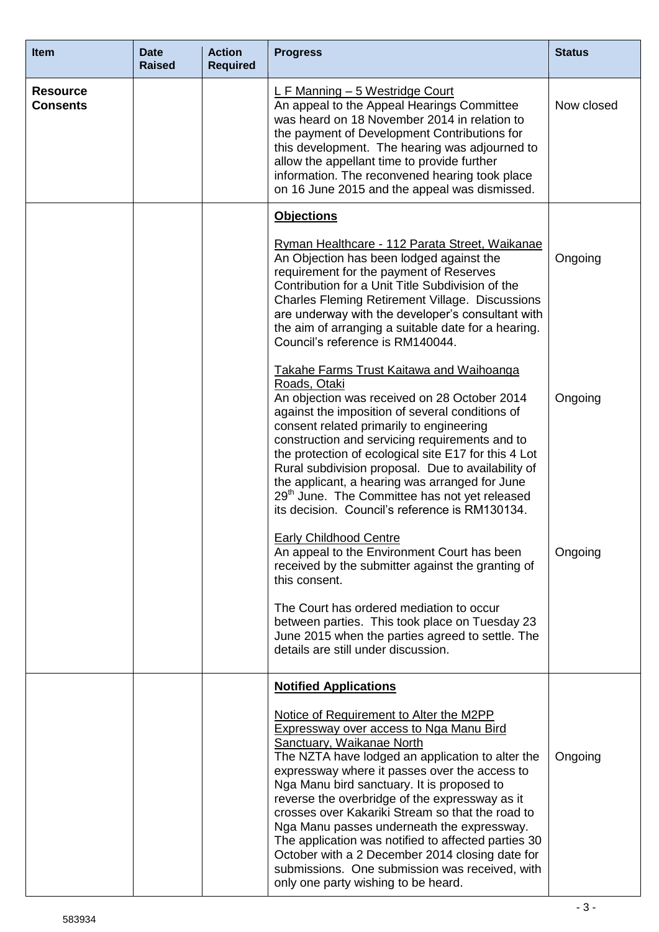| <b>Item</b>                        | <b>Date</b><br><b>Raised</b> | <b>Action</b><br><b>Required</b> | <b>Progress</b>                                                                                                                                                                                                                                                                                                                                                                                                                                                                                                                                                                                                                  | <b>Status</b> |
|------------------------------------|------------------------------|----------------------------------|----------------------------------------------------------------------------------------------------------------------------------------------------------------------------------------------------------------------------------------------------------------------------------------------------------------------------------------------------------------------------------------------------------------------------------------------------------------------------------------------------------------------------------------------------------------------------------------------------------------------------------|---------------|
| <b>Resource</b><br><b>Consents</b> |                              |                                  | L F Manning - 5 Westridge Court<br>An appeal to the Appeal Hearings Committee<br>was heard on 18 November 2014 in relation to<br>the payment of Development Contributions for<br>this development. The hearing was adjourned to<br>allow the appellant time to provide further<br>information. The reconvened hearing took place<br>on 16 June 2015 and the appeal was dismissed.                                                                                                                                                                                                                                                | Now closed    |
|                                    |                              |                                  | <b>Objections</b>                                                                                                                                                                                                                                                                                                                                                                                                                                                                                                                                                                                                                |               |
|                                    |                              |                                  | Ryman Healthcare - 112 Parata Street, Waikanae<br>An Objection has been lodged against the<br>requirement for the payment of Reserves<br>Contribution for a Unit Title Subdivision of the<br>Charles Fleming Retirement Village. Discussions<br>are underway with the developer's consultant with<br>the aim of arranging a suitable date for a hearing.<br>Council's reference is RM140044.                                                                                                                                                                                                                                     | Ongoing       |
|                                    |                              |                                  | <b>Takahe Farms Trust Kaitawa and Waihoanga</b><br>Roads, Otaki<br>An objection was received on 28 October 2014<br>against the imposition of several conditions of<br>consent related primarily to engineering<br>construction and servicing requirements and to<br>the protection of ecological site E17 for this 4 Lot<br>Rural subdivision proposal. Due to availability of<br>the applicant, a hearing was arranged for June<br>29 <sup>th</sup> June. The Committee has not yet released<br>its decision. Council's reference is RM130134.                                                                                  | Ongoing       |
|                                    |                              |                                  | Early Childhood Centre<br>An appeal to the Environment Court has been<br>received by the submitter against the granting of<br>this consent.                                                                                                                                                                                                                                                                                                                                                                                                                                                                                      | Ongoing       |
|                                    |                              |                                  | The Court has ordered mediation to occur<br>between parties. This took place on Tuesday 23<br>June 2015 when the parties agreed to settle. The<br>details are still under discussion.                                                                                                                                                                                                                                                                                                                                                                                                                                            |               |
|                                    |                              |                                  | <b>Notified Applications</b>                                                                                                                                                                                                                                                                                                                                                                                                                                                                                                                                                                                                     |               |
|                                    |                              |                                  | Notice of Requirement to Alter the M2PP<br><b>Expressway over access to Nga Manu Bird</b><br>Sanctuary, Waikanae North<br>The NZTA have lodged an application to alter the<br>expressway where it passes over the access to<br>Nga Manu bird sanctuary. It is proposed to<br>reverse the overbridge of the expressway as it<br>crosses over Kakariki Stream so that the road to<br>Nga Manu passes underneath the expressway.<br>The application was notified to affected parties 30<br>October with a 2 December 2014 closing date for<br>submissions. One submission was received, with<br>only one party wishing to be heard. | Ongoing       |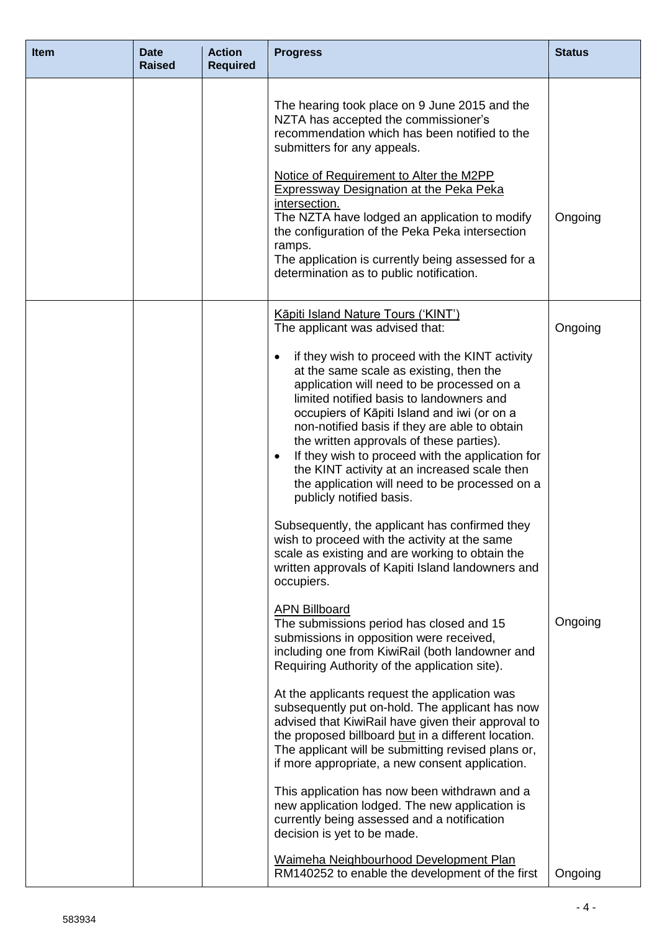| <b>Item</b> | <b>Date</b><br><b>Raised</b> | <b>Action</b><br><b>Required</b> | <b>Progress</b>                                                                                                                                                                                                                                                                                                                                                                                                                                                                                                                                                                                                                                                                                                                                                      | <b>Status</b> |
|-------------|------------------------------|----------------------------------|----------------------------------------------------------------------------------------------------------------------------------------------------------------------------------------------------------------------------------------------------------------------------------------------------------------------------------------------------------------------------------------------------------------------------------------------------------------------------------------------------------------------------------------------------------------------------------------------------------------------------------------------------------------------------------------------------------------------------------------------------------------------|---------------|
|             |                              |                                  | The hearing took place on 9 June 2015 and the<br>NZTA has accepted the commissioner's<br>recommendation which has been notified to the<br>submitters for any appeals.<br>Notice of Requirement to Alter the M2PP<br><b>Expressway Designation at the Peka Peka</b><br>intersection.<br>The NZTA have lodged an application to modify<br>the configuration of the Peka Peka intersection<br>ramps.<br>The application is currently being assessed for a<br>determination as to public notification.                                                                                                                                                                                                                                                                   | Ongoing       |
|             |                              |                                  | Kāpiti Island Nature Tours ('KINT')<br>The applicant was advised that:                                                                                                                                                                                                                                                                                                                                                                                                                                                                                                                                                                                                                                                                                               | Ongoing       |
|             |                              |                                  | if they wish to proceed with the KINT activity<br>$\bullet$<br>at the same scale as existing, then the<br>application will need to be processed on a<br>limited notified basis to landowners and<br>occupiers of Kāpiti Island and iwi (or on a<br>non-notified basis if they are able to obtain<br>the written approvals of these parties).<br>If they wish to proceed with the application for<br>$\bullet$<br>the KINT activity at an increased scale then<br>the application will need to be processed on a<br>publicly notified basis.<br>Subsequently, the applicant has confirmed they<br>wish to proceed with the activity at the same<br>scale as existing and are working to obtain the<br>written approvals of Kapiti Island landowners and<br>occupiers. |               |
|             |                              |                                  | <b>APN Billboard</b><br>The submissions period has closed and 15<br>submissions in opposition were received,<br>including one from KiwiRail (both landowner and<br>Requiring Authority of the application site).                                                                                                                                                                                                                                                                                                                                                                                                                                                                                                                                                     | Ongoing       |
|             |                              |                                  | At the applicants request the application was<br>subsequently put on-hold. The applicant has now<br>advised that KiwiRail have given their approval to<br>the proposed billboard but in a different location.<br>The applicant will be submitting revised plans or,<br>if more appropriate, a new consent application.                                                                                                                                                                                                                                                                                                                                                                                                                                               |               |
|             |                              |                                  | This application has now been withdrawn and a<br>new application lodged. The new application is<br>currently being assessed and a notification<br>decision is yet to be made.                                                                                                                                                                                                                                                                                                                                                                                                                                                                                                                                                                                        |               |
|             |                              |                                  | Waimeha Neighbourhood Development Plan<br>RM140252 to enable the development of the first                                                                                                                                                                                                                                                                                                                                                                                                                                                                                                                                                                                                                                                                            | Ongoing       |